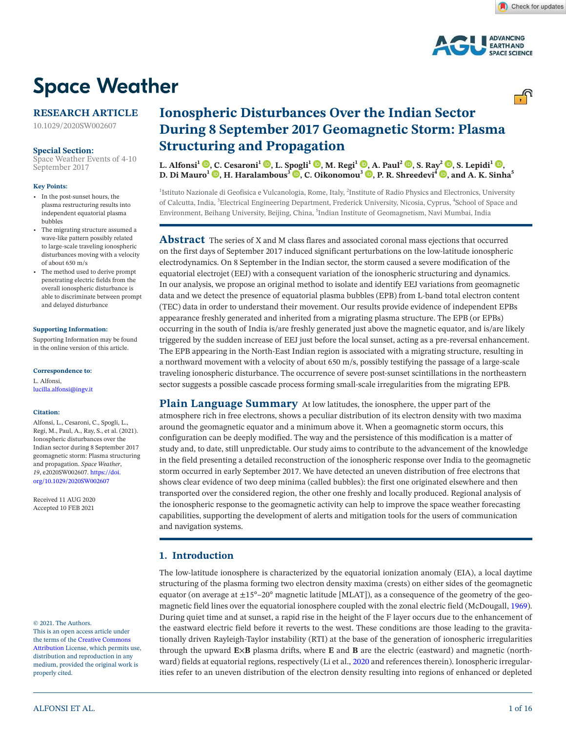

# **Space Weather**

# **RESEARCH ARTICLE**

10.1029/2020SW002607

### **Special Section:**

Space Weather Events of 4-10 September 2017

#### **Key Points:**

- In the post-sunset hours, the plasma restructuring results into independent equatorial plasma bubbles
- The migrating structure assumed a wave-like pattern possibly related to large-scale traveling ionospheric disturbances moving with a velocity of about 650 m/s
- The method used to derive prompt penetrating electric fields from the overall ionospheric disturbance is able to discriminate between prompt and delayed disturbance

### **Supporting Information:**

Supporting Information may be found in the online version of this article.

**Correspondence to:** L. Alfonsi,

lucilla.alfonsi@ingv.it

### **Citation:**

Alfonsi, L., Cesaroni, C., Spogli, L., Regi, M., Paul, A., Ray, S., et al. (2021). Ionospheric disturbances over the Indian sector during 8 September 2017 geomagnetic storm: Plasma structuring and propagation. *Space Weather*, *19*, e2020SW002607. https://doi. org/10.1029/2020SW002607

Received 11 AUG 2020 Accepted 10 FEB 2021

#### © 2021. The Authors.

This is an open access article under the terms of the Creative Commons Attribution License, which permits use, distribution and reproduction in any medium, provided the original work is properly cited.

# **Ionospheric Disturbances Over the Indian Sector During 8 September 2017 Geomagnetic Storm: Plasma Structuring and Propagation**

**L. Alfonsi<sup>1</sup>**  $\mathbf{D}$ **, C. Cesaroni<sup>1</sup>**  $\mathbf{D}$ **, L. Spogli<sup>1</sup>**  $\mathbf{D}$ **, M. Regi<sup>1</sup>**  $\mathbf{D}$ **, A. Paul<sup>2</sup>**  $\mathbf{D}$ **, S. Ray<sup>2</sup>**  $\mathbf{D}$ **, S. Lepidi<sup>1</sup>**  $\mathbf{D}$ **, D. Di Mauro<sup>1</sup> ©, H. Haralambous<sup>3</sup> ©, C. Oikonomou<sup>3</sup> ©, P. R. Shreedevi<sup>4</sup> ©, and A. K. Sinha<sup>5</sup>** 

<sup>1</sup>Istituto Nazionale di Geofisica e Vulcanologia, Rome, Italy, <sup>2</sup>Institute of Radio Physics and Electronics, University of Calcutta, India, <sup>3</sup>Electrical Engineering Department, Frederick University, Nicosia, Cyprus, <sup>4</sup>School of Space and Environment, Beihang University, Beijing, China, <sup>5</sup>Indian Institute of Geomagnetism, Navi Mumbai, India

**Abstract** The series of X and M class flares and associated coronal mass ejections that occurred on the first days of September 2017 induced significant perturbations on the low-latitude ionospheric electrodynamics. On 8 September in the Indian sector, the storm caused a severe modification of the equatorial electrojet (EEJ) with a consequent variation of the ionospheric structuring and dynamics. In our analysis, we propose an original method to isolate and identify EEJ variations from geomagnetic data and we detect the presence of equatorial plasma bubbles (EPB) from L-band total electron content (TEC) data in order to understand their movement. Our results provide evidence of independent EPBs appearance freshly generated and inherited from a migrating plasma structure. The EPB (or EPBs) occurring in the south of India is/are freshly generated just above the magnetic equator, and is/are likely triggered by the sudden increase of EEJ just before the local sunset, acting as a pre-reversal enhancement. The EPB appearing in the North-East Indian region is associated with a migrating structure, resulting in a northward movement with a velocity of about 650 m/s, possibly testifying the passage of a large-scale traveling ionospheric disturbance. The occurrence of severe post-sunset scintillations in the northeastern sector suggests a possible cascade process forming small-scale irregularities from the migrating EPB.

**Plain Language Summary** At low latitudes, the ionosphere, the upper part of the atmosphere rich in free electrons, shows a peculiar distribution of its electron density with two maxima around the geomagnetic equator and a minimum above it. When a geomagnetic storm occurs, this configuration can be deeply modified. The way and the persistence of this modification is a matter of study and, to date, still unpredictable. Our study aims to contribute to the advancement of the knowledge in the field presenting a detailed reconstruction of the ionospheric response over India to the geomagnetic storm occurred in early September 2017. We have detected an uneven distribution of free electrons that shows clear evidence of two deep minima (called bubbles): the first one originated elsewhere and then transported over the considered region, the other one freshly and locally produced. Regional analysis of the ionospheric response to the geomagnetic activity can help to improve the space weather forecasting capabilities, supporting the development of alerts and mitigation tools for the users of communication and navigation systems.

# **1. Introduction**

The low-latitude ionosphere is characterized by the equatorial ionization anomaly (EIA), a local daytime structuring of the plasma forming two electron density maxima (crests) on either sides of the geomagnetic equator (on average at  $\pm 15^{\circ}$ –20° magnetic latitude [MLAT]), as a consequence of the geometry of the geomagnetic field lines over the equatorial ionosphere coupled with the zonal electric field (McDougall, 1969). During quiet time and at sunset, a rapid rise in the height of the F layer occurs due to the enhancement of the eastward electric field before it reverts to the west. These conditions are those leading to the gravitationally driven Rayleigh-Taylor instability (RTI) at the base of the generation of ionospheric irregularities through the upward **E**×**B** plasma drifts, where **E** and **B** are the electric (eastward) and magnetic (northward) fields at equatorial regions, respectively (Li et al., 2020 and references therein). Ionospheric irregularities refer to an uneven distribution of the electron density resulting into regions of enhanced or depleted

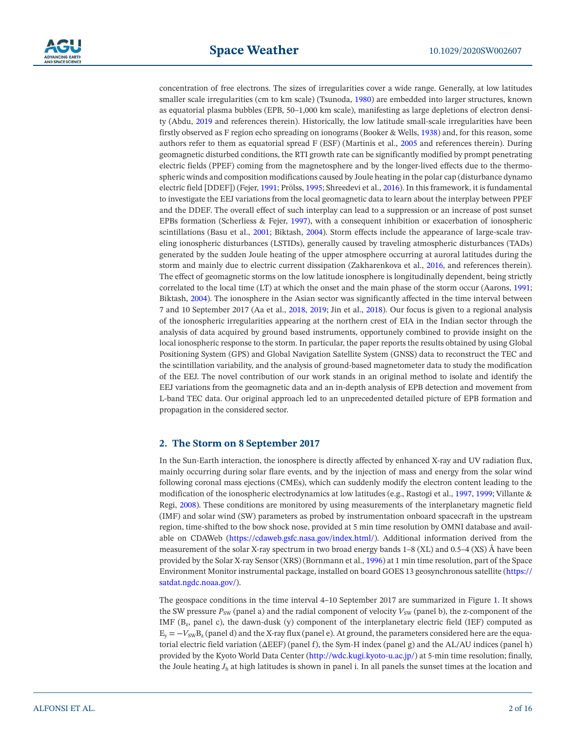

concentration of free electrons. The sizes of irregularities cover a wide range. Generally, at low latitudes smaller scale irregularities (cm to km scale) (Tsunoda, 1980) are embedded into larger structures, known as equatorial plasma bubbles (EPB, 50–1,000 km scale), manifesting as large depletions of electron density (Abdu, 2019 and references therein). Historically, the low latitude small-scale irregularities have been firstly observed as F region echo spreading on ionograms (Booker & Wells, 1938) and, for this reason, some authors refer to them as equatorial spread F (ESF) (Martinis et al., 2005 and references therein). During geomagnetic disturbed conditions, the RTI growth rate can be significantly modified by prompt penetrating electric fields (PPEF) coming from the magnetosphere and by the longer-lived effects due to the thermospheric winds and composition modifications caused by Joule heating in the polar cap (disturbance dynamo electric field [DDEF]) (Fejer, 1991; Prölss, 1995; Shreedevi et al., 2016). In this framework, it is fundamental to investigate the EEJ variations from the local geomagnetic data to learn about the interplay between PPEF and the DDEF. The overall effect of such interplay can lead to a suppression or an increase of post sunset EPBs formation (Scherliess & Fejer, 1997), with a consequent inhibition or exacerbation of ionospheric scintillations (Basu et al., 2001; Biktash, 2004). Storm effects include the appearance of large-scale traveling ionospheric disturbances (LSTIDs), generally caused by traveling atmospheric disturbances (TADs) generated by the sudden Joule heating of the upper atmosphere occurring at auroral latitudes during the storm and mainly due to electric current dissipation (Zakharenkova et al., 2016, and references therein). The effect of geomagnetic storms on the low latitude ionosphere is longitudinally dependent, being strictly correlated to the local time (LT) at which the onset and the main phase of the storm occur (Aarons, 1991; Biktash, 2004). The ionosphere in the Asian sector was significantly affected in the time interval between 7 and 10 September 2017 (Aa et al., 2018, 2019; Jin et al., 2018). Our focus is given to a regional analysis of the ionospheric irregularities appearing at the northern crest of EIA in the Indian sector through the analysis of data acquired by ground based instruments, opportunely combined to provide insight on the local ionospheric response to the storm. In particular, the paper reports the results obtained by using Global Positioning System (GPS) and Global Navigation Satellite System (GNSS) data to reconstruct the TEC and the scintillation variability, and the analysis of ground-based magnetometer data to study the modification of the EEJ. The novel contribution of our work stands in an original method to isolate and identify the EEJ variations from the geomagnetic data and an in-depth analysis of EPB detection and movement from L-band TEC data. Our original approach led to an unprecedented detailed picture of EPB formation and propagation in the considered sector.

# **2. The Storm on 8 September 2017**

In the Sun-Earth interaction, the ionosphere is directly affected by enhanced X-ray and UV radiation flux, mainly occurring during solar flare events, and by the injection of mass and energy from the solar wind following coronal mass ejections (CMEs), which can suddenly modify the electron content leading to the modification of the ionospheric electrodynamics at low latitudes (e.g., Rastogi et al., 1997, 1999; Villante & Regi, 2008). These conditions are monitored by using measurements of the interplanetary magnetic field (IMF) and solar wind (SW) parameters as probed by instrumentation onboard spacecraft in the upstream region, time-shifted to the bow shock nose, provided at 5 min time resolution by OMNI database and available on CDAWeb (https://cdaweb.gsfc.nasa.gov/index.html/). Additional information derived from the measurement of the solar X-ray spectrum in two broad energy bands 1–8 (XL) and 0.5–4 (XS) Å have been provided by the Solar X-ray Sensor (XRS) (Bornmann et al., 1996) at 1 min time resolution, part of the Space Environment Monitor instrumental package, installed on board GOES 13 geosynchronous satellite (https:// satdat.ngdc.noaa.gov/).

The geospace conditions in the time interval 4–10 September 2017 are summarized in Figure 1. It shows the SW pressure  $P_{SW}$  (panel a) and the radial component of velocity  $V_{SW}$  (panel b), the z-component of the IMF (B<sub>z</sub>, panel c), the dawn-dusk (y) component of the interplanetary electric field (IEF) computed as  $E_y = -V_{SWBz}$  (panel d) and the X-ray flux (panel e). At ground, the parameters considered here are the equatorial electric field variation (ΔEEF) (panel f), the Sym-H index (panel g) and the AL/AU indices (panel h) provided by the Kyoto World Data Center (http://wdc.kugi.kyoto-u.ac.jp/) at 5-min time resolution; finally, the Joule heating *J*h at high latitudes is shown in panel i. In all panels the sunset times at the location and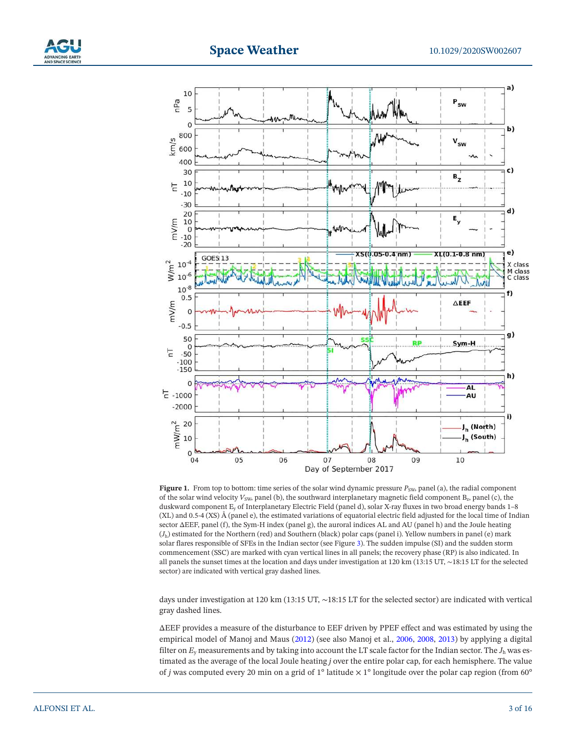# **Space Weather**





**Figure 1.** From top to bottom: time series of the solar wind dynamic pressure  $P_{SW}$ , panel (a), the radial component of the solar wind velocity  $V_{\text{SW}}$ , panel (b), the southward interplanetary magnetic field component B<sub>z</sub>, panel (c), the duskward component Ey of Interplanetary Electric Field (panel d), solar X-ray fluxes in two broad energy bands 1–8 (XL) and 0.5-4 (XS) Å (panel e), the estimated variations of equatorial electric field adjusted for the local time of Indian sector ΔEEF, panel (f), the Sym-H index (panel g), the auroral indices AL and AU (panel h) and the Joule heating (*J*h) estimated for the Northern (red) and Southern (black) polar caps (panel i). Yellow numbers in panel (e) mark solar flares responsible of SFEs in the Indian sector (see Figure 3). The sudden impulse (SI) and the sudden storm commencement (SSC) are marked with cyan vertical lines in all panels; the recovery phase (RP) is also indicated. In all panels the sunset times at the location and days under investigation at 120 km (13:15 UT, ∼18:15 LT for the selected sector) are indicated with vertical gray dashed lines.

days under investigation at 120 km (13:15 UT, ∼18:15 LT for the selected sector) are indicated with vertical gray dashed lines.

ΔEEF provides a measure of the disturbance to EEF driven by PPEF effect and was estimated by using the empirical model of Manoj and Maus (2012) (see also Manoj et al., 2006, 2008, 2013) by applying a digital filter on  $E_y$  measurements and by taking into account the LT scale factor for the Indian sector. The  $J_h$  was estimated as the average of the local Joule heating *j* over the entire polar cap, for each hemisphere. The value of *j* was computed every 20 min on a grid of 1° latitude  $\times$  1° longitude over the polar cap region (from 60°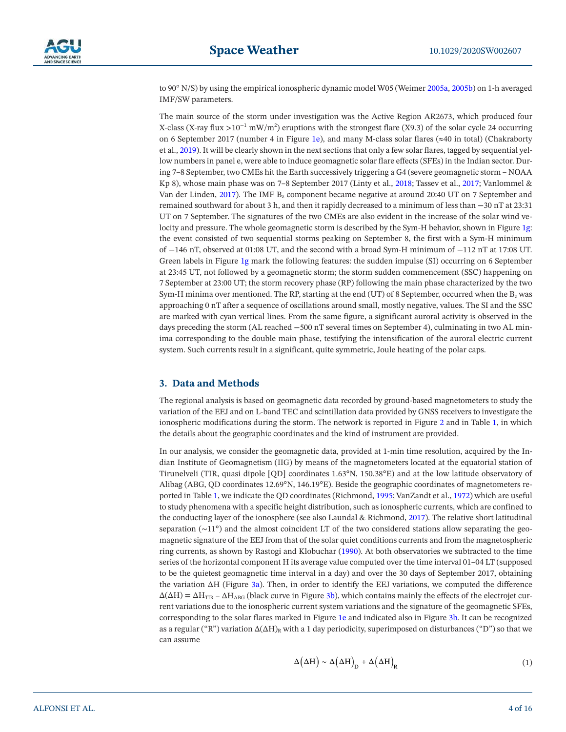to 90° N/S) by using the empirical ionospheric dynamic model W05 (Weimer 2005a, 2005b) on 1-h averaged IMF/SW parameters.

The main source of the storm under investigation was the Active Region AR2673, which produced four X-class (X-ray flux >10<sup>-1</sup> mW/m<sup>2</sup>) eruptions with the strongest flare (X9.3) of the solar cycle 24 occurring on 6 September 2017 (number 4 in Figure 1e), and many M-class solar flares (≈40 in total) (Chakraborty et al., 2019). It will be clearly shown in the next sections that only a few solar flares, tagged by sequential yellow numbers in panel e, were able to induce geomagnetic solar flare effects (SFEs) in the Indian sector. During 7–8 September, two CMEs hit the Earth successively triggering a G4 (severe geomagnetic storm – NOAA Kp 8), whose main phase was on 7–8 September 2017 (Linty et al., 2018; Tassev et al., 2017; Vanlommel & Van der Linden, 2017). The IMF B<sub>z</sub> component became negative at around 20:40 UT on 7 September and remained southward for about 3 h, and then it rapidly decreased to a minimum of less than −30 nT at 23:31 UT on 7 September. The signatures of the two CMEs are also evident in the increase of the solar wind velocity and pressure. The whole geomagnetic storm is described by the Sym-H behavior, shown in Figure 1g: the event consisted of two sequential storms peaking on September 8, the first with a Sym-H minimum of −146 nT, observed at 01:08 UT, and the second with a broad Sym-H minimum of −112 nT at 17:08 UT. Green labels in Figure 1g mark the following features: the sudden impulse (SI) occurring on 6 September at 23:45 UT, not followed by a geomagnetic storm; the storm sudden commencement (SSC) happening on 7 September at 23:00 UT; the storm recovery phase (RP) following the main phase characterized by the two Sym-H minima over mentioned. The RP, starting at the end (UT) of 8 September, occurred when the  $B_z$  was approaching 0 nT after a sequence of oscillations around small, mostly negative, values. The SI and the SSC are marked with cyan vertical lines. From the same figure, a significant auroral activity is observed in the days preceding the storm (AL reached −500 nT several times on September 4), culminating in two AL minima corresponding to the double main phase, testifying the intensification of the auroral electric current system. Such currents result in a significant, quite symmetric, Joule heating of the polar caps.

# **3. Data and Methods**

The regional analysis is based on geomagnetic data recorded by ground-based magnetometers to study the variation of the EEJ and on L-band TEC and scintillation data provided by GNSS receivers to investigate the ionospheric modifications during the storm. The network is reported in Figure 2 and in Table 1, in which the details about the geographic coordinates and the kind of instrument are provided.

In our analysis, we consider the geomagnetic data, provided at 1-min time resolution, acquired by the Indian Institute of Geomagnetism (IIG) by means of the magnetometers located at the equatorial station of Tirunelveli (TIR, quasi dipole [QD] coordinates 1.63°N, 150.38°E) and at the low latitude observatory of Alibag (ABG, QD coordinates 12.69°N, 146.19°E). Beside the geographic coordinates of magnetometers reported in Table 1, we indicate the QD coordinates (Richmond, 1995; VanZandt et al., 1972) which are useful to study phenomena with a specific height distribution, such as ionospheric currents, which are confined to the conducting layer of the ionosphere (see also Laundal & Richmond, 2017). The relative short latitudinal separation (∼11°) and the almost coincident LT of the two considered stations allow separating the geomagnetic signature of the EEJ from that of the solar quiet conditions currents and from the magnetospheric ring currents, as shown by Rastogi and Klobuchar (1990). At both observatories we subtracted to the time series of the horizontal component H its average value computed over the time interval 01–04 LT (supposed to be the quietest geomagnetic time interval in a day) and over the 30 days of September 2017, obtaining the variation ΔH (Figure 3a). Then, in order to identify the EEJ variations, we computed the difference  $\Delta(\Delta H) = \Delta H_{\text{TIR}} - \Delta H_{\text{ABC}}$  (black curve in Figure 3b), which contains mainly the effects of the electrojet current variations due to the ionospheric current system variations and the signature of the geomagnetic SFEs, corresponding to the solar flares marked in Figure 1e and indicated also in Figure 3b. It can be recognized as a regular ("R") variation  $\Delta(\Delta H)_{R}$  with a 1 day periodicity, superimposed on disturbances ("D") so that we can assume

$$
\Delta(\Delta H) \sim \Delta(\Delta H)_{\rm D} + \Delta(\Delta H)_{\rm R} \tag{1}
$$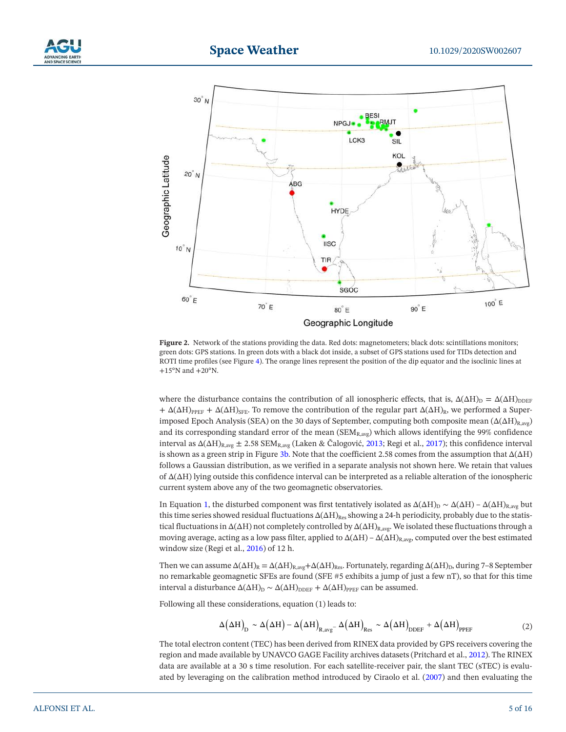



**Figure 2.** Network of the stations providing the data. Red dots: magnetometers; black dots: scintillations monitors; green dots: GPS stations. In green dots with a black dot inside, a subset of GPS stations used for TIDs detection and ROTI time profiles (see Figure 4). The orange lines represent the position of the dip equator and the isoclinic lines at  $+15^{\circ}$ N and  $+20^{\circ}$ N.

where the disturbance contains the contribution of all ionospheric effects, that is,  $\Delta(\Delta H)_{D} = \Delta(\Delta H)_{\text{DDEF}}$ +  $\Delta(\Delta H)_{\text{PPEF}}$  +  $\Delta(\Delta H)_{\text{SFE}}$ . To remove the contribution of the regular part  $\Delta(\Delta H)_{\text{R}}$ , we performed a Superimposed Epoch Analysis (SEA) on the 30 days of September, computing both composite mean  $(\Delta(\Delta H)_{R,avg})$ and its corresponding standard error of the mean  $(SEM_{R,avg})$  which allows identifying the 99% confidence interval as  $\Delta(\Delta H)_{R,avg} \pm 2.58$  SEM<sub>R,avg</sub> (Laken & Čalogović, 2013; Regi et al., 2017); this confidence interval is shown as a green strip in Figure 3b. Note that the coefficient 2.58 comes from the assumption that  $\Delta(\Delta H)$ follows a Gaussian distribution, as we verified in a separate analysis not shown here. We retain that values of Δ(ΔH) lying outside this confidence interval can be interpreted as a reliable alteration of the ionospheric current system above any of the two geomagnetic observatories.

In Equation 1, the disturbed component was first tentatively isolated as  $\Delta(\Delta H)_{D} \sim \Delta(\Delta H) - \Delta(\Delta H)_{R,avg}$  but this time series showed residual fluctuations  $\Delta(\Delta H)_{Res}$  showing a 24-h periodicity, probably due to the statistical fluctuations in  $\Delta(\Delta H)$  not completely controlled by  $\Delta(\Delta H)_{R,avg}$ . We isolated these fluctuations through a moving average, acting as a low pass filter, applied to  $\Delta(\Delta H) - \Delta(\Delta H)_{R,avg}$ , computed over the best estimated window size (Regi et al., 2016) of 12 h.

Then we can assume  $\Delta(\Delta H)_R = \Delta(\Delta H)_{R,avg} + \Delta(\Delta H)_{Res}$ . Fortunately, regarding  $\Delta(\Delta H)_{D}$ , during 7–8 September no remarkable geomagnetic SFEs are found (SFE #5 exhibits a jump of just a few nT), so that for this time interval a disturbance  $\Delta(\Delta H)_{D} \sim \Delta(\Delta H)_{\text{DDEF}} + \Delta(\Delta H)_{\text{PEEF}}$  can be assumed.

Following all these considerations, equation (1) leads to:

$$
\Delta(\Delta H)_{D} \sim \Delta(\Delta H) - \Delta(\Delta H)_{R,avg} - \Delta(\Delta H)_{Res} \sim \Delta(\Delta H)_{DDEF} + \Delta(\Delta H)_{PPEF}
$$
 (2)

The total electron content (TEC) has been derived from RINEX data provided by GPS receivers covering the region and made available by UNAVCO GAGE Facility archives datasets (Pritchard et al., 2012). The RINEX data are available at a 30 s time resolution. For each satellite-receiver pair, the slant TEC (sTEC) is evaluated by leveraging on the calibration method introduced by Ciraolo et al. (2007) and then evaluating the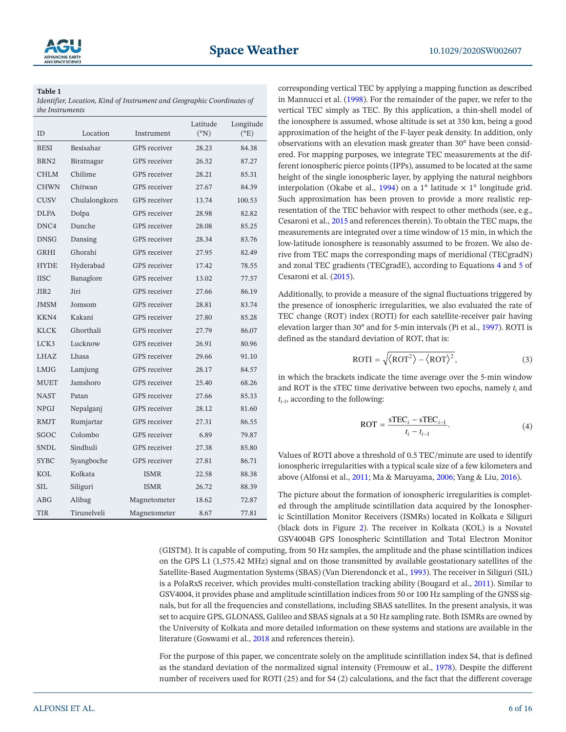# **Table 1**

*Identifier, Location, Kind of Instrument and Geographic Coordinates of the Instruments*

| <b>ID</b>        | Location         | Instrument          | Latitude<br>(°N) | Longitude<br>$(^{\circ}E)$ |
|------------------|------------------|---------------------|------------------|----------------------------|
| <b>BESI</b>      | <b>Besisahar</b> | <b>GPS</b> receiver | 28.23            | 84.38                      |
| BRN <sub>2</sub> | Biratnagar       | GPS receiver        | 26.52            | 87.27                      |
| <b>CHLM</b>      | Chilime          | GPS receiver        | 28.21            | 85.31                      |
| <b>CHWN</b>      | Chitwan          | <b>GPS</b> receiver | 27.67            | 84.39                      |
| <b>CUSV</b>      | Chulalongkorn    | GPS receiver        | 13.74            | 100.53                     |
| <b>DLPA</b>      | Dolpa            | GPS receiver        | 28.98            | 82.82                      |
| DNC4             | Dunche           | GPS receiver        | 28.08            | 85.25                      |
| <b>DNSG</b>      | Dansing          | GPS receiver        | 28.34            | 83.76                      |
| <b>GRHI</b>      | Ghorahi          | GPS receiver        | 27.95            | 82.49                      |
| <b>HYDE</b>      | Hyderabad        | GPS receiver        | 17.42            | 78.55                      |
| <b>IISC</b>      | Banaglore        | GPS receiver        | 13.02            | 77.57                      |
| JIR <sub>2</sub> | Jiri             | GPS receiver        | 27.66            | 86.19                      |
| <b>JMSM</b>      | Jomsom           | GPS receiver        | 28.81            | 83.74                      |
| KKN4             | Kakani           | GPS receiver        | 27.80            | 85.28                      |
| <b>KLCK</b>      | Ghorthali        | <b>GPS</b> receiver | 27.79            | 86.07                      |
| LCK3             | Lucknow          | <b>GPS</b> receiver | 26.91            | 80.96                      |
| LHAZ             | Lhasa            | <b>GPS</b> receiver | 29.66            | 91.10                      |
| LMJG             | Lamjung          | <b>GPS</b> receiver | 28.17            | 84.57                      |
| <b>MUET</b>      | Jamshoro         | <b>GPS</b> receiver | 25.40            | 68.26                      |
| <b>NAST</b>      | Patan            | <b>GPS</b> receiver | 27.66            | 85.33                      |
| <b>NPGJ</b>      | Nepalganj        | <b>GPS</b> receiver | 28.12            | 81.60                      |
| <b>RMJT</b>      | Rumjartar        | GPS receiver        | 27.31            | 86.55                      |
| <b>SGOC</b>      | Colombo          | GPS receiver        | 6.89             | 79.87                      |
| <b>SNDL</b>      | Sindhuli         | GPS receiver        | 27.38            | 85.80                      |
| <b>SYBC</b>      | Syangboche       | GPS receiver        | 27.81            | 86.71                      |
| KOL              | Kolkata          | <b>ISMR</b>         | 22.58            | 88.38                      |
| SH.              | Siliguri         | <b>ISMR</b>         | 26.72            | 88.39                      |
| ABG              | Alibag           | Magnetometer        | 18.62            | 72.87                      |
| <b>TIR</b>       | Tirunelveli      | Magnetometer        | 8.67             | 77.81                      |

corresponding vertical TEC by applying a mapping function as described in Mannucci et al. (1998). For the remainder of the paper, we refer to the vertical TEC simply as TEC. By this application, a thin-shell model of the ionosphere is assumed, whose altitude is set at 350 km, being a good approximation of the height of the F-layer peak density. In addition, only observations with an elevation mask greater than 30° have been considered. For mapping purposes, we integrate TEC measurements at the different ionospheric pierce points (IPPs), assumed to be located at the same height of the single ionospheric layer, by applying the natural neighbors interpolation (Okabe et al., 1994) on a 1° latitude  $\times$  1° longitude grid. Such approximation has been proven to provide a more realistic representation of the TEC behavior with respect to other methods (see, e.g., Cesaroni et al., 2015 and references therein). To obtain the TEC maps, the measurements are integrated over a time window of 15 min, in which the low-latitude ionosphere is reasonably assumed to be frozen. We also derive from TEC maps the corresponding maps of meridional (TECgradN) and zonal TEC gradients (TECgradE), according to Equations 4 and 5 of Cesaroni et al. (2015).

Additionally, to provide a measure of the signal fluctuations triggered by the presence of ionospheric irregularities, we also evaluated the rate of TEC change (ROT) index (ROTI) for each satellite-receiver pair having elevation larger than 30° and for 5-min intervals (Pi et al., 1997). ROTI is defined as the standard deviation of ROT, that is:

$$
ROTI = \sqrt{\langle ROT^2 \rangle - \langle ROT \rangle^2},\tag{3}
$$

in which the brackets indicate the time average over the 5-min window and ROT is the sTEC time derivative between two epochs, namely  $t_i$  and *ti-1*, according to the following:

$$
ROT = \frac{sTEC_i - sTEC_{i-1}}{t_i - t_{i-1}}.
$$
\n
$$
(4)
$$

Values of ROTI above a threshold of 0.5 TEC/minute are used to identify ionospheric irregularities with a typical scale size of a few kilometers and above (Alfonsi et al., 2011; Ma & Maruyama, 2006; Yang & Liu, 2016).

The picture about the formation of ionospheric irregularities is completed through the amplitude scintillation data acquired by the Ionospheric Scintillation Monitor Receivers (ISMRs) located in Kolkata e Siliguri (black dots in Figure 2). The receiver in Kolkata (KOL) is a Novatel GSV4004B GPS Ionospheric Scintillation and Total Electron Monitor

(GISTM). It is capable of computing, from 50 Hz samples, the amplitude and the phase scintillation indices on the GPS L1 (1,575.42 MHz) signal and on those transmitted by available geostationary satellites of the Satellite-Based Augmentation Systems (SBAS) (Van Dierendonck et al., 1993). The receiver in Siliguri (SIL) is a PolaRxS receiver, which provides multi-constellation tracking ability (Bougard et al., 2011). Similar to GSV4004, it provides phase and amplitude scintillation indices from 50 or 100 Hz sampling of the GNSS signals, but for all the frequencies and constellations, including SBAS satellites. In the present analysis, it was set to acquire GPS, GLONASS, Galileo and SBAS signals at a 50 Hz sampling rate. Both ISMRs are owned by the University of Kolkata and more detailed information on these systems and stations are available in the literature (Goswami et al., 2018 and references therein).

For the purpose of this paper, we concentrate solely on the amplitude scintillation index S4, that is defined as the standard deviation of the normalized signal intensity (Fremouw et al., 1978). Despite the different number of receivers used for ROTI (25) and for S4 (2) calculations, and the fact that the different coverage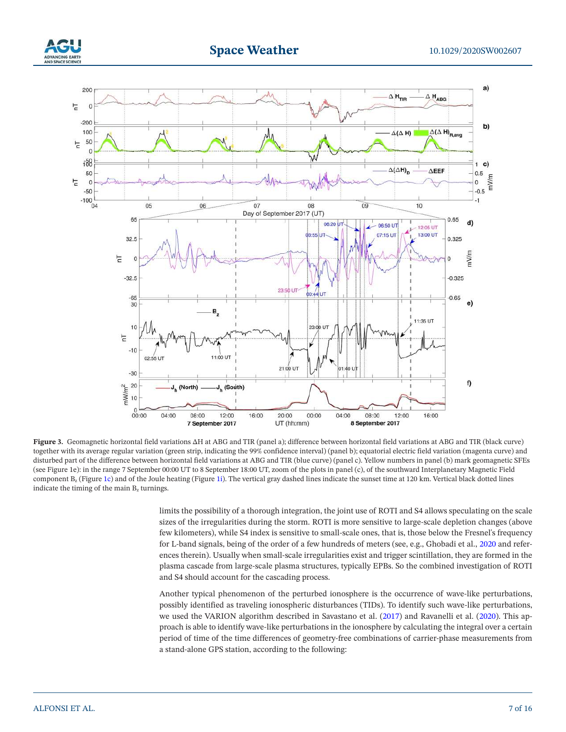



**Figure 3.** Geomagnetic horizontal field variations ΔH at ABG and TIR (panel a); difference between horizontal field variations at ABG and TIR (black curve) together with its average regular variation (green strip, indicating the 99% confidence interval) (panel b); equatorial electric field variation (magenta curve) and disturbed part of the difference between horizontal field variations at ABG and TIR (blue curve) (panel c). Yellow numbers in panel (b) mark geomagnetic SFEs (see Figure 1e): in the range 7 September 00:00 UT to 8 September 18:00 UT, zoom of the plots in panel (c), of the southward Interplanetary Magnetic Field component  $B_z$  (Figure 1c) and of the Joule heating (Figure 1i). The vertical gray dashed lines indicate the sunset time at 120 km. Vertical black dotted lines indicate the timing of the main  $B_z$  turnings.

limits the possibility of a thorough integration, the joint use of ROTI and S4 allows speculating on the scale sizes of the irregularities during the storm. ROTI is more sensitive to large-scale depletion changes (above few kilometers), while S4 index is sensitive to small-scale ones, that is, those below the Fresnel's frequency for L-band signals, being of the order of a few hundreds of meters (see, e.g., Ghobadi et al., 2020 and references therein). Usually when small-scale irregularities exist and trigger scintillation, they are formed in the plasma cascade from large-scale plasma structures, typically EPBs. So the combined investigation of ROTI and S4 should account for the cascading process.

Another typical phenomenon of the perturbed ionosphere is the occurrence of wave-like perturbations, possibly identified as traveling ionospheric disturbances (TIDs). To identify such wave-like perturbations, we used the VARION algorithm described in Savastano et al. (2017) and Ravanelli et al. (2020). This approach is able to identify wave-like perturbations in the ionosphere by calculating the integral over a certain period of time of the time differences of geometry-free combinations of carrier-phase measurements from a stand-alone GPS station, according to the following: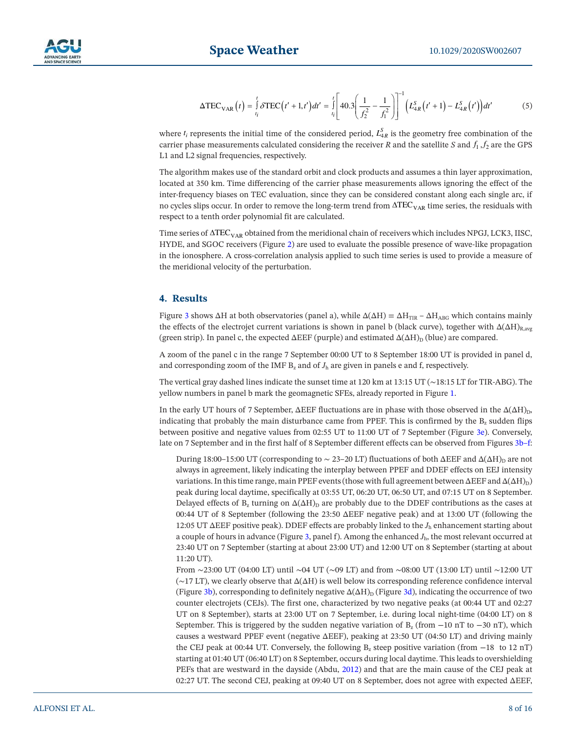

$$
\Delta \text{TEC}_{\text{VAR}}(t) = \int_{t_i}^{t} \delta \text{TEC}(t' + 1, t') dt' = \int_{t_i}^{t} \left[ 40.3 \left( \frac{1}{f_2^2} - \frac{1}{f_1^2} \right) \right]^{-1} \left( L_{4R}^S(t' + 1) - L_{4R}^S(t') \right) dt' \tag{5}
$$

where  $t_i$  represents the initial time of the considered period,  $L_{4R}^S$  is the geometry free combination of the carrier phase measurements calculated considering the receiver *R* and the satellite *S* and  $f_1$ ,  $f_2$  are the GPS L1 and L2 signal frequencies, respectively.

The algorithm makes use of the standard orbit and clock products and assumes a thin layer approximation, located at 350 km. Time differencing of the carrier phase measurements allows ignoring the effect of the inter-frequency biases on TEC evaluation, since they can be considered constant along each single arc, if no cycles slips occur. In order to remove the long-term trend from  $\Delta TEC_{VAR}$  time series, the residuals with respect to a tenth order polynomial fit are calculated.

Time series of  $\Delta \text{TEC}_{\text{VAR}}$  obtained from the meridional chain of receivers which includes NPGJ, LCK3, IISC, HYDE, and SGOC receivers (Figure 2) are used to evaluate the possible presence of wave-like propagation in the ionosphere. A cross-correlation analysis applied to such time series is used to provide a measure of the meridional velocity of the perturbation.

# **4. Results**

Figure 3 shows  $\Delta H$  at both observatories (panel a), while  $\Delta(\Delta H) = \Delta H_{TIR} - \Delta H_{ABC}$  which contains mainly the effects of the electrojet current variations is shown in panel b (black curve), together with  $\Delta(\Delta H)_{\text{R,avg}}$ (green strip). In panel c, the expected  $\Delta EEF$  (purple) and estimated  $\Delta(\Delta H)_{D}$  (blue) are compared.

A zoom of the panel c in the range 7 September 00:00 UT to 8 September 18:00 UT is provided in panel d, and corresponding zoom of the IMF  $B_z$  and of  $J_h$  are given in panels e and f, respectively.

The vertical gray dashed lines indicate the sunset time at 120 km at 13:15 UT (∼18:15 LT for TIR-ABG). The yellow numbers in panel b mark the geomagnetic SFEs, already reported in Figure 1.

In the early UT hours of 7 September,  $\Delta EEF$  fluctuations are in phase with those observed in the  $\Delta(\Delta H)_{D}$ , indicating that probably the main disturbance came from PPEF. This is confirmed by the  $B_z$  sudden flips between positive and negative values from 02:55 UT to 11:00 UT of 7 September (Figure 3e). Conversely, late on 7 September and in the first half of 8 September different effects can be observed from Figures 3b–f:

During 18:00–15:00 UT (corresponding to  $\sim$  23–20 LT) fluctuations of both ΔEEF and Δ(ΔH)<sub>D</sub> are not always in agreement, likely indicating the interplay between PPEF and DDEF effects on EEJ intensity variations. In this time range, main PPEF events (those with full agreement between  $\Delta EEF$  and  $\Delta(\Delta H)_{D}$ ) peak during local daytime, specifically at 03:55 UT, 06:20 UT, 06:50 UT, and 07:15 UT on 8 September. Delayed effects of  $B_z$  turning on  $\Delta(\Delta H)$  are probably due to the DDEF contributions as the cases at 00:44 UT of 8 September (following the 23:50 ΔEEF negative peak) and at 13:00 UT (following the 12:05 UT ΔEEF positive peak). DDEF effects are probably linked to the *J*h enhancement starting about a couple of hours in advance (Figure 3, panel f). Among the enhanced  $J<sub>h</sub>$ , the most relevant occurred at 23:40 UT on 7 September (starting at about 23:00 UT) and 12:00 UT on 8 September (starting at about 11:20 UT).

 From ∼23:00 UT (04:00 LT) until ∼04 UT (∼09 LT) and from ∼08:00 UT (13:00 LT) until ∼12:00 UT (∼17 LT), we clearly observe that Δ(ΔH) is well below its corresponding reference confidence interval (Figure 3b), corresponding to definitely negative  $\Delta(\Delta H)$  (Figure 3d), indicating the occurrence of two counter electrojets (CEJs). The first one, characterized by two negative peaks (at 00:44 UT and 02:27 UT on 8 September), starts at 23:00 UT on 7 September, i.e. during local night-time (04:00 LT) on 8 September. This is triggered by the sudden negative variation of  $B_z$  (from  $-10$  nT to  $-30$  nT), which causes a westward PPEF event (negative ΔEEF), peaking at 23:50 UT (04:50 LT) and driving mainly the CEJ peak at 00:44 UT. Conversely, the following  $B_z$  steep positive variation (from  $-18$  to 12 nT) starting at 01:40 UT (06:40 LT) on 8 September, occurs during local daytime. This leads to overshielding PEFs that are westward in the dayside (Abdu, 2012) and that are the main cause of the CEJ peak at 02:27 UT. The second CEJ, peaking at 09:40 UT on 8 September, does not agree with expected ΔEEF,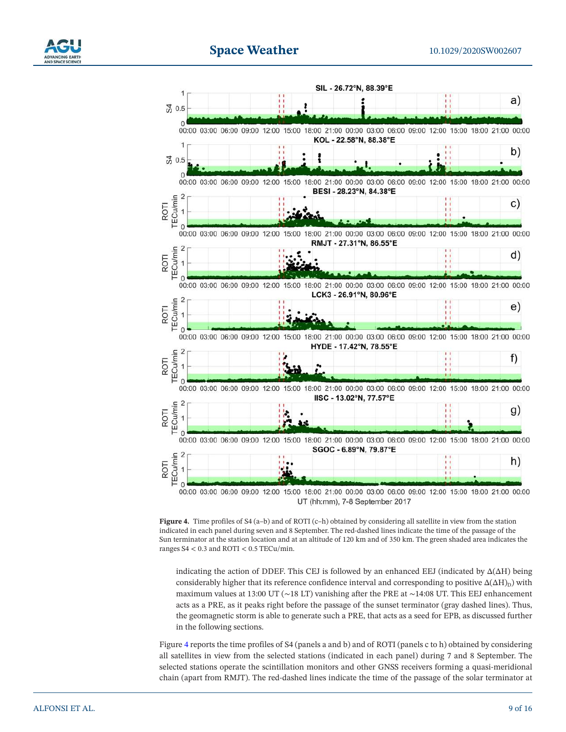



**Figure 4.** Time profiles of S4 (a–b) and of ROTI (c–h) obtained by considering all satellite in view from the station indicated in each panel during seven and 8 September. The red-dashed lines indicate the time of the passage of the Sun terminator at the station location and at an altitude of 120 km and of 350 km. The green shaded area indicates the ranges  $S4 < 0.3$  and ROTI  $< 0.5$  TECu/min.

indicating the action of DDEF. This CEJ is followed by an enhanced EEJ (indicated by  $\Delta(\Delta H)$  being considerably higher that its reference confidence interval and corresponding to positive  $\Delta(\Delta H)_{D}$ ) with maximum values at 13:00 UT (∼18 LT) vanishing after the PRE at ∼14:08 UT. This EEJ enhancement acts as a PRE, as it peaks right before the passage of the sunset terminator (gray dashed lines). Thus, the geomagnetic storm is able to generate such a PRE, that acts as a seed for EPB, as discussed further in the following sections.

Figure 4 reports the time profiles of S4 (panels a and b) and of ROTI (panels c to h) obtained by considering all satellites in view from the selected stations (indicated in each panel) during 7 and 8 September. The selected stations operate the scintillation monitors and other GNSS receivers forming a quasi-meridional chain (apart from RMJT). The red-dashed lines indicate the time of the passage of the solar terminator at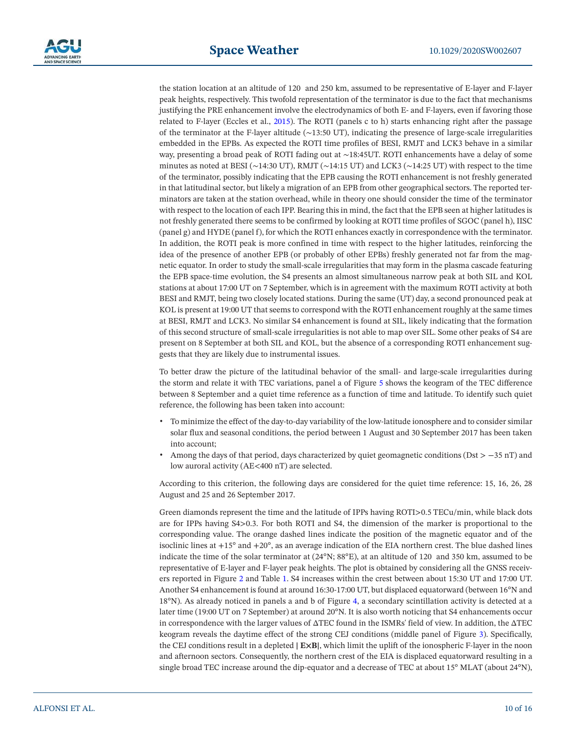

the station location at an altitude of 120 and 250 km, assumed to be representative of E-layer and F-layer peak heights, respectively. This twofold representation of the terminator is due to the fact that mechanisms justifying the PRE enhancement involve the electrodynamics of both E- and F-layers, even if favoring those related to F-layer (Eccles et al., 2015). The ROTI (panels c to h) starts enhancing right after the passage of the terminator at the F-layer altitude (∼13:50 UT), indicating the presence of large-scale irregularities embedded in the EPBs. As expected the ROTI time profiles of BESI, RMJT and LCK3 behave in a similar way, presenting a broad peak of ROTI fading out at ∼18:45UT. ROTI enhancements have a delay of some minutes as noted at BESI (∼14:30 UT), RMJT (∼14:15 UT) and LCK3 (∼14:25 UT) with respect to the time of the terminator, possibly indicating that the EPB causing the ROTI enhancement is not freshly generated in that latitudinal sector, but likely a migration of an EPB from other geographical sectors. The reported terminators are taken at the station overhead, while in theory one should consider the time of the terminator with respect to the location of each IPP. Bearing this in mind, the fact that the EPB seen at higher latitudes is not freshly generated there seems to be confirmed by looking at ROTI time profiles of SGOC (panel h), IISC (panel g) and HYDE (panel f), for which the ROTI enhances exactly in correspondence with the terminator. In addition, the ROTI peak is more confined in time with respect to the higher latitudes, reinforcing the idea of the presence of another EPB (or probably of other EPBs) freshly generated not far from the magnetic equator. In order to study the small-scale irregularities that may form in the plasma cascade featuring the EPB space-time evolution, the S4 presents an almost simultaneous narrow peak at both SIL and KOL stations at about 17:00 UT on 7 September, which is in agreement with the maximum ROTI activity at both BESI and RMJT, being two closely located stations. During the same (UT) day, a second pronounced peak at KOL is present at 19:00 UT that seems to correspond with the ROTI enhancement roughly at the same times at BESI, RMJT and LCK3. No similar S4 enhancement is found at SIL, likely indicating that the formation of this second structure of small-scale irregularities is not able to map over SIL. Some other peaks of S4 are present on 8 September at both SIL and KOL, but the absence of a corresponding ROTI enhancement suggests that they are likely due to instrumental issues.

To better draw the picture of the latitudinal behavior of the small- and large-scale irregularities during the storm and relate it with TEC variations, panel a of Figure 5 shows the keogram of the TEC difference between 8 September and a quiet time reference as a function of time and latitude. To identify such quiet reference, the following has been taken into account:

- To minimize the effect of the day-to-day variability of the low-latitude ionosphere and to consider similar solar flux and seasonal conditions, the period between 1 August and 30 September 2017 has been taken into account;
- Among the days of that period, days characterized by quiet geomagnetic conditions (Dst > −35 nT) and low auroral activity (AE<400 nT) are selected.

According to this criterion, the following days are considered for the quiet time reference: 15, 16, 26, 28 August and 25 and 26 September 2017.

Green diamonds represent the time and the latitude of IPPs having ROTI>0.5 TECu/min, while black dots are for IPPs having S4>0.3. For both ROTI and S4, the dimension of the marker is proportional to the corresponding value. The orange dashed lines indicate the position of the magnetic equator and of the isoclinic lines at  $+15^{\circ}$  and  $+20^{\circ}$ , as an average indication of the EIA northern crest. The blue dashed lines indicate the time of the solar terminator at (24°N; 88°E), at an altitude of 120 and 350 km, assumed to be representative of E-layer and F-layer peak heights. The plot is obtained by considering all the GNSS receivers reported in Figure 2 and Table 1. S4 increases within the crest between about 15:30 UT and 17:00 UT. Another S4 enhancement is found at around 16:30-17:00 UT, but displaced equatorward (between 16°N and 18°N). As already noticed in panels a and b of Figure 4, a secondary scintillation activity is detected at a later time (19:00 UT on 7 September) at around 20°N. It is also worth noticing that S4 enhancements occur in correspondence with the larger values of ΔTEC found in the ISMRs' field of view. In addition, the ΔTEC keogram reveals the daytime effect of the strong CEJ conditions (middle panel of Figure 3). Specifically, the CEJ conditions result in a depleted **| E×B|**, which limit the uplift of the ionospheric F-layer in the noon and afternoon sectors. Consequently, the northern crest of the EIA is displaced equatorward resulting in a single broad TEC increase around the dip-equator and a decrease of TEC at about 15° MLAT (about 24°N),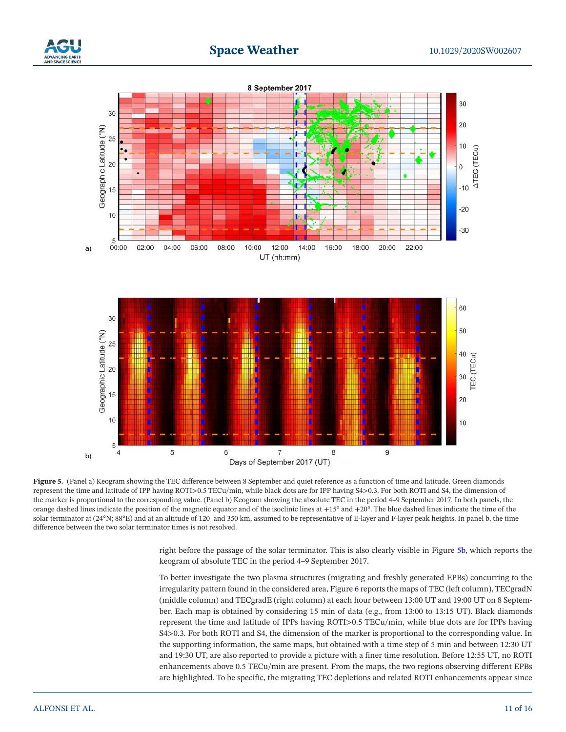





**Figure 5.** (Panel a) Keogram showing the TEC difference between 8 September and quiet reference as a function of time and latitude. Green diamonds represent the time and latitude of IPP having ROTI>0.5 TECu/min, while black dots are for IPP having S4>0.3. For both ROTI and S4, the dimension of the marker is proportional to the corresponding value. (Panel b) Keogram showing the absolute TEC in the period 4–9 September 2017. In both panels, the orange dashed lines indicate the position of the magnetic equator and of the isoclinic lines at +15° and +20°. The blue dashed lines indicate the time of the solar terminator at (24°N; 88°E) and at an altitude of 120 and 350 km, assumed to be representative of E-layer and F-layer peak heights. In panel b, the time difference between the two solar terminator times is not resolved.

right before the passage of the solar terminator. This is also clearly visible in Figure 5b, which reports the keogram of absolute TEC in the period 4–9 September 2017.

To better investigate the two plasma structures (migrating and freshly generated EPBs) concurring to the irregularity pattern found in the considered area, Figure 6 reports the maps of TEC (left column), TECgradN (middle column) and TECgradE (right column) at each hour between 13:00 UT and 19:00 UT on 8 September. Each map is obtained by considering 15 min of data (e.g., from 13:00 to 13:15 UT). Black diamonds represent the time and latitude of IPPs having ROTI>0.5 TECu/min, while blue dots are for IPPs having S4>0.3. For both ROTI and S4, the dimension of the marker is proportional to the corresponding value. In the supporting information, the same maps, but obtained with a time step of 5 min and between 12:30 UT and 19:30 UT, are also reported to provide a picture with a finer time resolution. Before 12:55 UT, no ROTI enhancements above 0.5 TECu/min are present. From the maps, the two regions observing different EPBs are highlighted. To be specific, the migrating TEC depletions and related ROTI enhancements appear since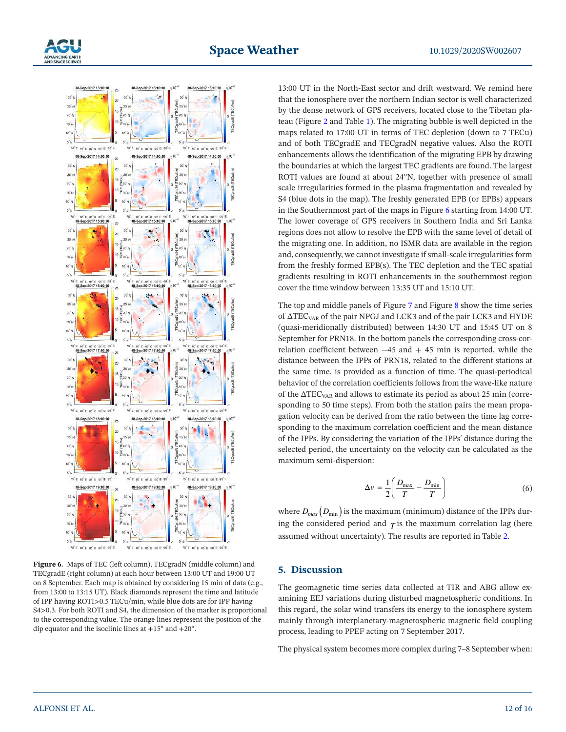



**Figure 6.** Maps of TEC (left column), TECgradN (middle column) and TECgradE (right column) at each hour between 13:00 UT and 19:00 UT on 8 September. Each map is obtained by considering 15 min of data (e.g., from 13:00 to 13:15 UT). Black diamonds represent the time and latitude of IPP having ROTI>0.5 TECu/min, while blue dots are for IPP having S4>0.3. For both ROTI and S4, the dimension of the marker is proportional to the corresponding value. The orange lines represent the position of the dip equator and the isoclinic lines at  $+15^{\circ}$  and  $+20^{\circ}$ .

13:00 UT in the North-East sector and drift westward. We remind here that the ionosphere over the northern Indian sector is well characterized by the dense network of GPS receivers, located close to the Tibetan plateau (Figure 2 and Table 1). The migrating bubble is well depicted in the maps related to 17:00 UT in terms of TEC depletion (down to 7 TECu) and of both TECgradE and TECgradN negative values. Also the ROTI enhancements allows the identification of the migrating EPB by drawing the boundaries at which the largest TEC gradients are found. The largest ROTI values are found at about 24°N, together with presence of small scale irregularities formed in the plasma fragmentation and revealed by S4 (blue dots in the map). The freshly generated EPB (or EPBs) appears in the Southernmost part of the maps in Figure 6 starting from 14:00 UT. The lower coverage of GPS receivers in Southern India and Sri Lanka regions does not allow to resolve the EPB with the same level of detail of the migrating one. In addition, no ISMR data are available in the region and, consequently, we cannot investigate if small-scale irregularities form from the freshly formed EPB(s). The TEC depletion and the TEC spatial gradients resulting in ROTI enhancements in the southernmost region cover the time window between 13:35 UT and 15:10 UT.

The top and middle panels of Figure 7 and Figure 8 show the time series of ΔTEC<sub>VAR</sub> of the pair NPGJ and LCK3 and of the pair LCK3 and HYDE (quasi-meridionally distributed) between 14:30 UT and 15:45 UT on 8 September for PRN18. In the bottom panels the corresponding cross-correlation coefficient between  $-45$  and  $+45$  min is reported, while the distance between the IPPs of PRN18, related to the different stations at the same time, is provided as a function of time. The quasi-periodical behavior of the correlation coefficients follows from the wave-like nature of the  $\Delta \text{TEC}_{\text{VAR}}$  and allows to estimate its period as about 25 min (corresponding to 50 time steps). From both the station pairs the mean propagation velocity can be derived from the ratio between the time lag corresponding to the maximum correlation coefficient and the mean distance of the IPPs. By considering the variation of the IPPs' distance during the selected period, the uncertainty on the velocity can be calculated as the maximum semi-dispersion:

$$
\Delta v = \frac{1}{2} \left( \frac{D_{\text{max}}}{T} - \frac{D_{\text{min}}}{T} \right) \tag{6}
$$

where  $D_{max}\big(D_{\min}\big)$  is the maximum (minimum) distance of the IPPs during the considered period and  $\tau$  is the maximum correlation lag (here assumed without uncertainty). The results are reported in Table 2.

# **5. Discussion**

The geomagnetic time series data collected at TIR and ABG allow examining EEJ variations during disturbed magnetospheric conditions. In this regard, the solar wind transfers its energy to the ionosphere system mainly through interplanetary-magnetospheric magnetic field coupling process, leading to PPEF acting on 7 September 2017.

The physical system becomes more complex during 7–8 September when: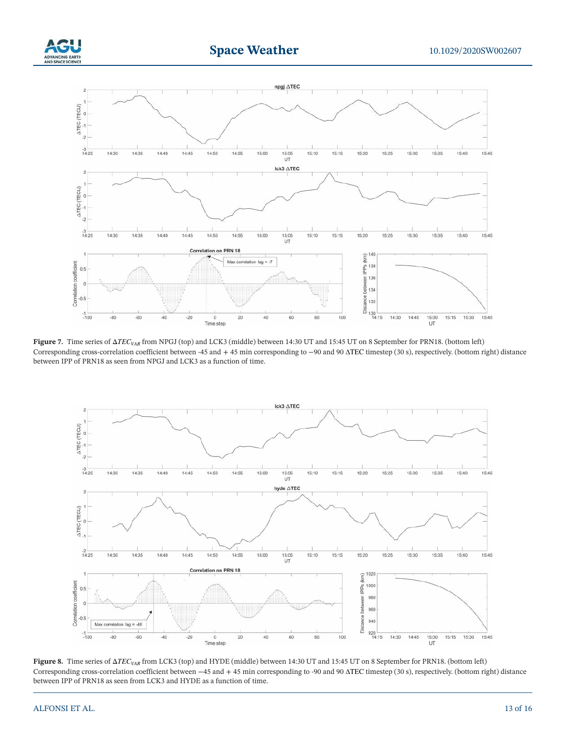





**Figure 7.** Time series of ΔTEC<sub>VAR</sub> from NPGJ (top) and LCK3 (middle) between 14:30 UT and 15:45 UT on 8 September for PRN18. (bottom left) Corresponding cross-correlation coefficient between -45 and + 45 min corresponding to −90 and 90 TEC timestep (30 s), respectively. (bottom right) distance between IPP of PRN18 as seen from NPGJ and LCK3 as a function of time.



**Figure 8.** Time series of ΔTEC<sub>VAR</sub> from LCK3 (top) and HYDE (middle) between 14:30 UT and 15:45 UT on 8 September for PRN18. (bottom left) Corresponding cross-correlation coefficient between −45 and + 45 min corresponding to -90 and 90 TEC timestep (30 s), respectively. (bottom right) distance between IPP of PRN18 as seen from LCK3 and HYDE as a function of time.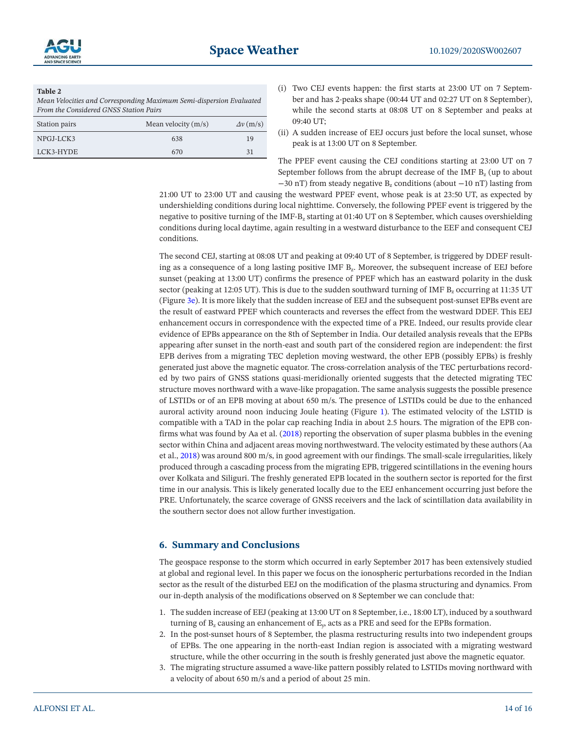

## **Table 2**

*Mean Velocities and Corresponding Maximum Semi-dispersion Evaluated From the Considered GNSS Station Pairs*

| Station pairs | Mean velocity $(m/s)$ | $\Delta v$ (m/s) |
|---------------|-----------------------|------------------|
| NPGJ-LCK3     | 638                   | 19               |
| LCK3-HYDE     | 670                   | 31               |

- (i) Two CEJ events happen: the first starts at 23:00 UT on 7 September and has 2-peaks shape (00:44 UT and 02:27 UT on 8 September), while the second starts at 08:08 UT on 8 September and peaks at 09:40 UT;
- (ii) A sudden increase of EEJ occurs just before the local sunset, whose peak is at 13:00 UT on 8 September.

The PPEF event causing the CEJ conditions starting at 23:00 UT on 7 September follows from the abrupt decrease of the IMF  $B<sub>z</sub>$  (up to about −30 nT) from steady negative B<sub>z</sub> conditions (about −10 nT) lasting from

21:00 UT to 23:00 UT and causing the westward PPEF event, whose peak is at 23:50 UT, as expected by undershielding conditions during local nighttime. Conversely, the following PPEF event is triggered by the negative to positive turning of the IMF-B<sub>z</sub> starting at 01:40 UT on 8 September, which causes overshielding conditions during local daytime, again resulting in a westward disturbance to the EEF and consequent CEJ conditions.

The second CEJ, starting at 08:08 UT and peaking at 09:40 UT of 8 September, is triggered by DDEF resulting as a consequence of a long lasting positive IMF B<sub>2</sub>. Moreover, the subsequent increase of EEJ before sunset (peaking at 13:00 UT) confirms the presence of PPEF which has an eastward polarity in the dusk sector (peaking at 12:05 UT). This is due to the sudden southward turning of IMF Bz occurring at 11:35 UT (Figure 3e). It is more likely that the sudden increase of EEJ and the subsequent post-sunset EPBs event are the result of eastward PPEF which counteracts and reverses the effect from the westward DDEF. This EEJ enhancement occurs in correspondence with the expected time of a PRE. Indeed, our results provide clear evidence of EPBs appearance on the 8th of September in India. Our detailed analysis reveals that the EPBs appearing after sunset in the north-east and south part of the considered region are independent: the first EPB derives from a migrating TEC depletion moving westward, the other EPB (possibly EPBs) is freshly generated just above the magnetic equator. The cross-correlation analysis of the TEC perturbations recorded by two pairs of GNSS stations quasi-meridionally oriented suggests that the detected migrating TEC structure moves northward with a wave-like propagation. The same analysis suggests the possible presence of LSTIDs or of an EPB moving at about 650 m/s. The presence of LSTIDs could be due to the enhanced auroral activity around noon inducing Joule heating (Figure 1). The estimated velocity of the LSTID is compatible with a TAD in the polar cap reaching India in about 2.5 hours. The migration of the EPB confirms what was found by Aa et al. (2018) reporting the observation of super plasma bubbles in the evening sector within China and adjacent areas moving northwestward. The velocity estimated by these authors (Aa et al., 2018) was around 800 m/s, in good agreement with our findings. The small-scale irregularities, likely produced through a cascading process from the migrating EPB, triggered scintillations in the evening hours over Kolkata and Siliguri. The freshly generated EPB located in the southern sector is reported for the first time in our analysis. This is likely generated locally due to the EEJ enhancement occurring just before the PRE. Unfortunately, the scarce coverage of GNSS receivers and the lack of scintillation data availability in the southern sector does not allow further investigation.

### **6. Summary and Conclusions**

The geospace response to the storm which occurred in early September 2017 has been extensively studied at global and regional level. In this paper we focus on the ionospheric perturbations recorded in the Indian sector as the result of the disturbed EEJ on the modification of the plasma structuring and dynamics. From our in-depth analysis of the modifications observed on 8 September we can conclude that:

- 1. The sudden increase of EEJ (peaking at 13:00 UT on 8 September, i.e., 18:00 LT), induced by a southward turning of  $B_z$  causing an enhancement of  $E_y$ , acts as a PRE and seed for the EPBs formation.
- 2. In the post-sunset hours of 8 September, the plasma restructuring results into two independent groups of EPBs. The one appearing in the north-east Indian region is associated with a migrating westward structure, while the other occurring in the south is freshly generated just above the magnetic equator.
- 3. The migrating structure assumed a wave-like pattern possibly related to LSTIDs moving northward with a velocity of about 650 m/s and a period of about 25 min.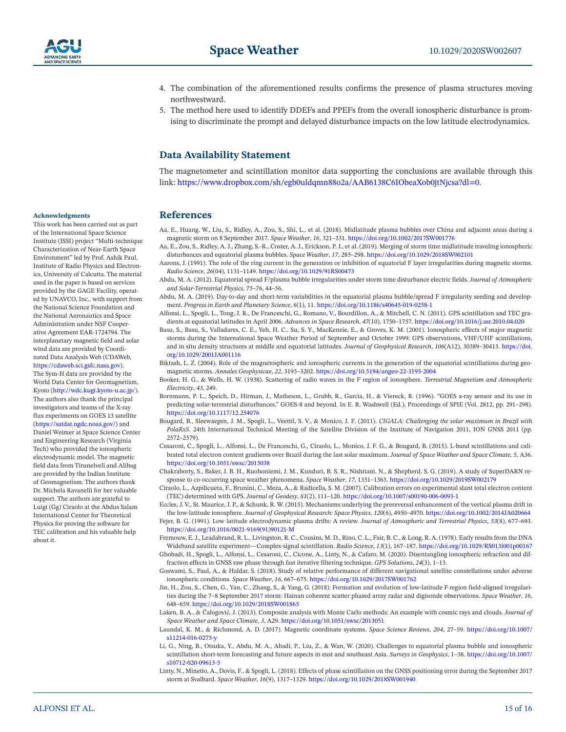

- 4. The combination of the aforementioned results confirms the presence of plasma structures moving northwestward.
- 5. The method here used to identify DDEFs and PPEFs from the overall ionospheric disturbance is promising to discriminate the prompt and delayed disturbance impacts on the low latitude electrodynamics.

# **Data Availability Statement**

The magnetometer and scintillation monitor data supporting the conclusions are available through this link: https://www.dropbox.com/sh/egb0uldqmn88o2a/AAB6138C6IObeaXob0jtNjcsa?dl=0.

## **References**

- Aa, E., Huang, W., Liu, S., Ridley, A., Zou, S., Shi, L., et al. (2018). Midlatitude plasma bubbles over China and adjacent areas during a magnetic storm on 8 September 2017. *Space Weather*, *16*, 321–331. https://doi.org/10.1002/2017SW001776
- Aa, E., Zou, S., Ridley, A. J., Zhang, S.-R., Coster, A. J., Erickson, P. J., et al. (2019). Merging of storm time midlatitude traveling ionospheric disturbances and equatorial plasma bubbles. *Space Weather*, *17*, 285–298. https://doi.org/10.1029/2018SW002101
- Aarons, J. (1991). The role of the ring current in the generation or inhibition of equatorial F layer irregularities during magnetic storms. *Radio Science*, *26*(04), 1131–1149. https://doi.org/10.1029/91RS00473
- Abdu, M. A. (2012). Equatorial spread F/plasma bubble irregularities under storm time disturbance electric fields. *Journal of Atmospheric and Solar-Terrestrial Physics*, *75–76*, 44–56.
- Abdu, M. A. (2019). Day-to-day and short-term variabilities in the equatorial plasma bubble/spread F irregularity seeding and development. *Progress in Earth and Planetary Science*, *6*(1), 11. https://doi.org/10.1186/s40645-019-0258-1
- Alfonsi, L., Spogli, L., Tong, J. R., De Franceschi, G., Romano, V., Bourdillon, A., & Mitchell, C. N. (2011). GPS scintillation and TEC gradients at equatorial latitudes in April 2006. *Advances in Space Research*, *47*(10), 1750–1757. https://doi.org/10.1016/j.asr.2010.04.020
- Basu, S., Basu, S., Valladares, C. E., Yeh, H. C., Su, S. Y., MacKenzie, E., & Groves, K. M. (2001). Ionospheric effects of major magnetic storms during the International Space Weather Period of September and October 1999: GPS observations, VHF/UHF scintillations, and in situ density structures at middle and equatorial latitudes. *Journal of Geophysical Research*, *106*(A12), 30389–30413. https://doi. org/10.1029/2001JA001116
- Biktash, L. Z. (2004). Role of the magnetospheric and ionospheric currents in the generation of the equatorial scintillations during geomagnetic storms. *Annales Geophysicae*, *22*, 3195–3202. https://doi.org/10.5194/angeo-22-3195-2004
- Booker, H. G., & Wells, H. W. (1938). Scattering of radio waves in the F region of ionosphere. *Terrestrial Magnetism and Atmospheric Electricity*, *43*, 249.
- Bornmann, P. L., Speich, D., Hirman, J., Matheson, L., Grubb, R., Garcia, H., & Viereck, R. (1996). "GOES x-ray sensor and its use in predicting solar-terrestrial disturbances," GOES-8 and beyond. In E. R. Washwell (Ed.), Proceedings of SPIE (Vol. 2812, pp. 291–298). https://doi.org/10.1117/12.254076
- Bougard, B., Sleewaegen, J. M., Spogli, L., Veettil, S. V., & Monico, J. F. (2011). *CIGALA: Challenging the solar maximum in Brazil with PolaRxS*. 24th International Technical Meeting of the Satellite Division of the Institute of Navigation 2011, ION GNSS 2011 (pp. 2572–2579).
- Cesaroni, C., Spogli, L., Alfonsi, L., De Franceschi, G., Ciraolo, L., Monico, J. F. G., & Bougard, B. (2015). L-band scintillations and calibrated total electron content gradients over Brazil during the last solar maximum. *Journal of Space Weather and Space Climate*, *5*, A36. https://doi.org/10.1051/swsc/2015038
- Chakraborty, S., Baker, J. B. H., Ruohoniemi, J. M., Kunduri, B. S. R., Nishitani, N., & Shepherd, S. G. (2019). A study of SuperDARN response to co-occurring space weather phenomena. *Space Weather*, *17*, 1351–1363. https://doi.org/10.1029/2019SW002179
- Ciraolo, L., Azpilicueta, F., Brunini, C., Meza, A., & Radicella, S. M. (2007). Calibration errors on experimental slant total electron content (TEC) determined with GPS. *Journal of Geodesy*, *81*(2), 111–120. https://doi.org/10.1007/s00190-006-0093-1

Eccles, J. V., St. Maurice, J. P., & Schunk, R. W. (2015). Mechanisms underlying the prereversal enhancement of the vertical plasma drift in the low-latitude ionosphere. *Journal of Geophysical Research: Space Physics*, *120*(6), 4950–4970. https://doi.org/10.1002/2014JA020664

- Fejer, B. G. (1991). Low latitude electrodynamic plasma drifts: A review. *Journal of Atmospheric and Terrestrial Physics*, *53*(8), 677–693. https://doi.org/10.1016/0021-9169(91)90121-M
- Fremouw, E. J., Leadabrand, R. L., Livingston, R. C., Cousins, M. D., Rino, C. L., Fair, B. C., & Long, R. A. (1978). Early results from the DNA Wideband satellite experiment—Complex-signal scintillation. *Radio Science*, *13*(1), 167–187. https://doi.org/10.1029/RS013i001p00167 Ghobadi, H., Spogli, L., Alfonsi, L., Cesaroni, C., Cicone, A., Linty, N., & Cafaro, M. (2020). Disentangling ionospheric refraction and dif-
- fraction effects in GNSS raw phase through fast iterative filtering technique. *GPS Solutions*, *24*(3), 1–13. Goswami, S., Paul, A., & Haldar, S. (2018). Study of relative performance of different navigational satellite constellations under adverse ionospheric conditions. *Space Weather*, *16*, 667–675. https://doi.org/10.1029/2017SW001762
- Jin, H., Zou, S., Chen, G., Yan, C., Zhang, S., & Yang, G. (2018). Formation and evolution of low-latitude F region field-aligned irregularities during the 7–8 September 2017 storm: Hainan coherent scatter phased array radar and digisonde observations. *Space Weather*, *16*, 648–659. https://doi.org/10.1029/2018SW001865
- Laken, B. A., & Čalogović, J. (2013). Composite analysis with Monte Carlo methods: An example with cosmic rays and clouds. *Journal of Space Weather and Space Climate*, *3*, A29. https://doi.org/10.1051/swsc/2013051
- Laundal, K. M., & Richmond, A. D. (2017). Magnetic coordinate systems. *Space Science Reviews*, *204*, 27–59. https://doi.org/10.1007/ s11214-016-0275-y
- Li, G., Ning, B., Otsuka, Y., Abdu, M. A., Abadi, P., Liu, Z., & Wan, W. (2020). Challenges to equatorial plasma bubble and ionospheric scintillation short-term forecasting and future aspects in east and southeast Asia. *Surveys in Geophysics*, 1–38. https://doi.org/10.1007/ s10712-020-09613-5
- Linty, N., Minetto, A., Dovis, F., & Spogli, L. (2018). Effects of phase scintillation on the GNSS positioning error during the September 2017 storm at Svalbard. *Space Weather*, *16*(9), 1317–1329. https://doi.org/10.1029/2018SW001940

### **Acknowledgments**

This work has been carried out as part of the International Space Science Institute (ISSI) project "Multi-technique Characterization of Near-Earth Space Environment" led by Prof. Ashik Paul, Institute of Radio Physics and Electronics, University of Calcutta. The material used in the paper is based on services provided by the GAGE Facility, operated by UNAVCO, Inc., with support from the National Science Foundation and the National Aeronautics and Space Administration under NSF Cooperative Agreement EAR-1724794. The interplanetary magnetic field and solar wind data are provided by Coordinated Data Analysis Web (CDAWeb, https://cdaweb.sci.gsfc.nasa.gov). The Sym-H data are provided by the World Data Center for Geomagnetism, Kyoto (http://wdc.kugi.kyoto-u.ac.jp/). The authors also thank the principal investigators and teams of the X-ray flux experiments on GOES 13 satellite (https://satdat.ngdc.noaa.gov/) and Daniel Weimer at Space Science Center and Engineering Research (Virginia Tech) who provided the ionospheric electrodynamic model. The magnetic field data from Tirunelveli and Alibag are provided by the Indian Institute of Geomagnetism. The authors thank Dr. Michela Ravanelli for her valuable support. The authors are grateful to Luigi (Gg) Ciraolo at the Abdus Salam International Center for Theoretical Physics for proving the software for TEC calibration and his valuable help about it.